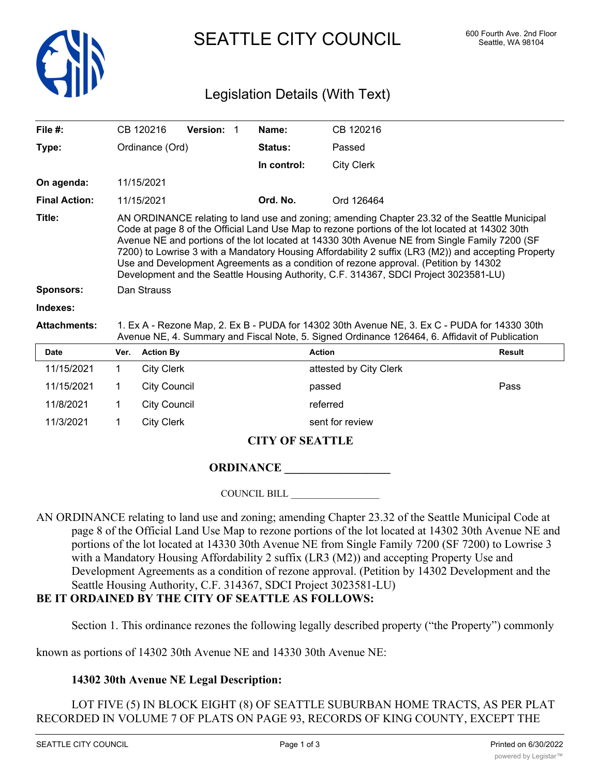

SEATTLE CITY COUNCIL 600 Fourth Ave. 2nd Floor

# Legislation Details (With Text)

| File $#$ :           |                                                                                                                                                                                                                                                                                                                                                                                                                                                                                                                                                                                           | CB 120216         | <b>Version:</b> | Name:          | CB 120216              |               |  |  |
|----------------------|-------------------------------------------------------------------------------------------------------------------------------------------------------------------------------------------------------------------------------------------------------------------------------------------------------------------------------------------------------------------------------------------------------------------------------------------------------------------------------------------------------------------------------------------------------------------------------------------|-------------------|-----------------|----------------|------------------------|---------------|--|--|
| Type:                | Ordinance (Ord)                                                                                                                                                                                                                                                                                                                                                                                                                                                                                                                                                                           |                   |                 | <b>Status:</b> | Passed                 |               |  |  |
|                      |                                                                                                                                                                                                                                                                                                                                                                                                                                                                                                                                                                                           |                   |                 | In control:    | <b>City Clerk</b>      |               |  |  |
| On agenda:           |                                                                                                                                                                                                                                                                                                                                                                                                                                                                                                                                                                                           | 11/15/2021        |                 |                |                        |               |  |  |
| <b>Final Action:</b> |                                                                                                                                                                                                                                                                                                                                                                                                                                                                                                                                                                                           | 11/15/2021        |                 | Ord. No.       | Ord 126464             |               |  |  |
| Title:               | AN ORDINANCE relating to land use and zoning; amending Chapter 23.32 of the Seattle Municipal<br>Code at page 8 of the Official Land Use Map to rezone portions of the lot located at 14302 30th<br>Avenue NE and portions of the lot located at 14330 30th Avenue NE from Single Family 7200 (SF<br>7200) to Lowrise 3 with a Mandatory Housing Affordability 2 suffix (LR3 (M2)) and accepting Property<br>Use and Development Agreements as a condition of rezone approval. (Petition by 14302<br>Development and the Seattle Housing Authority, C.F. 314367, SDCI Project 3023581-LU) |                   |                 |                |                        |               |  |  |
| <b>Sponsors:</b>     | Dan Strauss                                                                                                                                                                                                                                                                                                                                                                                                                                                                                                                                                                               |                   |                 |                |                        |               |  |  |
| Indexes:             |                                                                                                                                                                                                                                                                                                                                                                                                                                                                                                                                                                                           |                   |                 |                |                        |               |  |  |
| <b>Attachments:</b>  | 1. Ex A - Rezone Map, 2. Ex B - PUDA for 14302 30th Avenue NE, 3. Ex C - PUDA for 14330 30th<br>Avenue NE, 4. Summary and Fiscal Note, 5. Signed Ordinance 126464, 6. Affidavit of Publication                                                                                                                                                                                                                                                                                                                                                                                            |                   |                 |                |                        |               |  |  |
| <b>Date</b>          | Ver.                                                                                                                                                                                                                                                                                                                                                                                                                                                                                                                                                                                      | <b>Action By</b>  |                 |                | <b>Action</b>          | <b>Result</b> |  |  |
| 11/15/2021           |                                                                                                                                                                                                                                                                                                                                                                                                                                                                                                                                                                                           | <b>City Clerk</b> |                 |                | attested by City Clerk |               |  |  |

|            |              | $\mathbf{1}$ $\mathbf{1}$ $\mathbf{1}$ |      |
|------------|--------------|----------------------------------------|------|
| 11/15/2021 | City Council | passed                                 | Pass |
| 11/8/2021  | City Council | referred                               |      |
| 11/3/2021  | City Clerk   | sent for review                        |      |
|            |              |                                        |      |

## **CITY OF SEATTLE**

## **ORDINANCE \_\_\_\_\_\_\_\_\_\_\_\_\_\_\_\_\_\_**

COUNCIL BILL \_\_\_\_\_\_\_\_\_\_\_\_\_\_\_\_\_\_

AN ORDINANCE relating to land use and zoning; amending Chapter 23.32 of the Seattle Municipal Code at page 8 of the Official Land Use Map to rezone portions of the lot located at 14302 30th Avenue NE and portions of the lot located at 14330 30th Avenue NE from Single Family 7200 (SF 7200) to Lowrise 3 with a Mandatory Housing Affordability 2 suffix (LR3 (M2)) and accepting Property Use and Development Agreements as a condition of rezone approval. (Petition by 14302 Development and the Seattle Housing Authority, C.F. 314367, SDCI Project 3023581-LU)

## **BE IT ORDAINED BY THE CITY OF SEATTLE AS FOLLOWS:**

Section 1. This ordinance rezones the following legally described property ("the Property") commonly

known as portions of 14302 30th Avenue NE and 14330 30th Avenue NE:

#### **14302 30th Avenue NE Legal Description:**

LOT FIVE (5) IN BLOCK EIGHT (8) OF SEATTLE SUBURBAN HOME TRACTS, AS PER PLAT RECORDED IN VOLUME 7 OF PLATS ON PAGE 93, RECORDS OF KING COUNTY, EXCEPT THE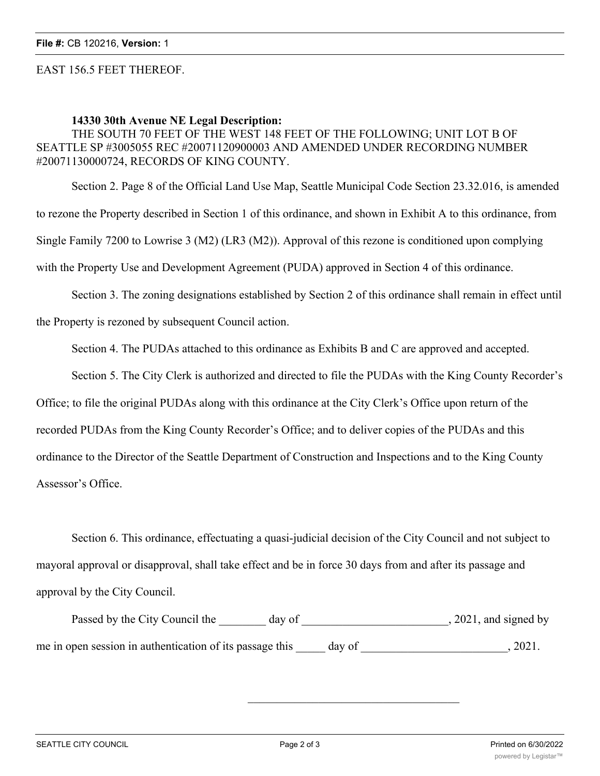#### EAST 156.5 FEET THEREOF.

#### **14330 30th Avenue NE Legal Description:**

THE SOUTH 70 FEET OF THE WEST 148 FEET OF THE FOLLOWING; UNIT LOT B OF SEATTLE SP #3005055 REC #20071120900003 AND AMENDED UNDER RECORDING NUMBER #20071130000724, RECORDS OF KING COUNTY.

Section 2. Page 8 of the Official Land Use Map, Seattle Municipal Code Section 23.32.016, is amended to rezone the Property described in Section 1 of this ordinance, and shown in Exhibit A to this ordinance, from Single Family 7200 to Lowrise 3 (M2) (LR3 (M2)). Approval of this rezone is conditioned upon complying with the Property Use and Development Agreement (PUDA) approved in Section 4 of this ordinance.

Section 3. The zoning designations established by Section 2 of this ordinance shall remain in effect until

the Property is rezoned by subsequent Council action.

Section 4. The PUDAs attached to this ordinance as Exhibits B and C are approved and accepted.

Section 5. The City Clerk is authorized and directed to file the PUDAs with the King County Recorder's

Office; to file the original PUDAs along with this ordinance at the City Clerk's Office upon return of the

recorded PUDAs from the King County Recorder's Office; and to deliver copies of the PUDAs and this

ordinance to the Director of the Seattle Department of Construction and Inspections and to the King County

Assessor's Office.

Section 6. This ordinance, effectuating a quasi-judicial decision of the City Council and not subject to mayoral approval or disapproval, shall take effect and be in force 30 days from and after its passage and approval by the City Council.

Passed by the City Council the \_\_\_\_\_\_\_ day of \_\_\_\_\_\_\_\_\_\_\_\_\_\_\_\_\_\_\_\_\_\_\_\_, 2021, and signed by me in open session in authentication of its passage this day of  $\qquad \qquad$ , 2021.

\_\_\_\_\_\_\_\_\_\_\_\_\_\_\_\_\_\_\_\_\_\_\_\_\_\_\_\_\_\_\_\_\_\_\_\_